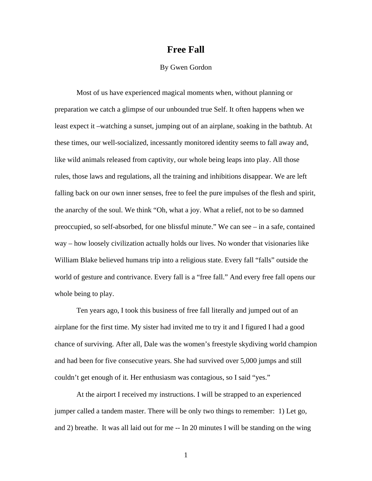## **Free Fall**

## By Gwen Gordon

Most of us have experienced magical moments when, without planning or preparation we catch a glimpse of our unbounded true Self. It often happens when we least expect it –watching a sunset, jumping out of an airplane, soaking in the bathtub. At these times, our well-socialized, incessantly monitored identity seems to fall away and, like wild animals released from captivity, our whole being leaps into play. All those rules, those laws and regulations, all the training and inhibitions disappear. We are left falling back on our own inner senses, free to feel the pure impulses of the flesh and spirit, the anarchy of the soul. We think "Oh, what a joy. What a relief, not to be so damned preoccupied, so self-absorbed, for one blissful minute." We can see – in a safe, contained way – how loosely civilization actually holds our lives. No wonder that visionaries like William Blake believed humans trip into a religious state. Every fall "falls" outside the world of gesture and contrivance. Every fall is a "free fall." And every free fall opens our whole being to play.

Ten years ago, I took this business of free fall literally and jumped out of an airplane for the first time. My sister had invited me to try it and I figured I had a good chance of surviving. After all, Dale was the women's freestyle skydiving world champion and had been for five consecutive years. She had survived over 5,000 jumps and still couldn't get enough of it. Her enthusiasm was contagious, so I said "yes."

At the airport I received my instructions. I will be strapped to an experienced jumper called a tandem master. There will be only two things to remember: 1) Let go, and 2) breathe. It was all laid out for me -- In 20 minutes I will be standing on the wing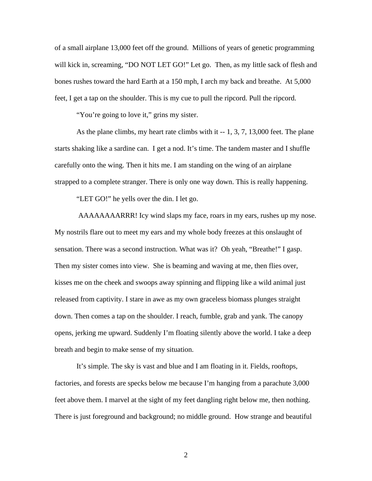of a small airplane 13,000 feet off the ground. Millions of years of genetic programming will kick in, screaming, "DO NOT LET GO!" Let go. Then, as my little sack of flesh and bones rushes toward the hard Earth at a 150 mph, I arch my back and breathe. At 5,000 feet, I get a tap on the shoulder. This is my cue to pull the ripcord. Pull the ripcord.

"You're going to love it," grins my sister.

As the plane climbs, my heart rate climbs with it -- 1, 3, 7, 13,000 feet. The plane starts shaking like a sardine can. I get a nod. It's time. The tandem master and I shuffle carefully onto the wing. Then it hits me. I am standing on the wing of an airplane strapped to a complete stranger. There is only one way down. This is really happening.

"LET GO!" he yells over the din. I let go.

 AAAAAAAARRR! Icy wind slaps my face, roars in my ears, rushes up my nose. My nostrils flare out to meet my ears and my whole body freezes at this onslaught of sensation. There was a second instruction. What was it? Oh yeah, "Breathe!" I gasp. Then my sister comes into view. She is beaming and waving at me, then flies over, kisses me on the cheek and swoops away spinning and flipping like a wild animal just released from captivity. I stare in awe as my own graceless biomass plunges straight down. Then comes a tap on the shoulder. I reach, fumble, grab and yank. The canopy opens, jerking me upward. Suddenly I'm floating silently above the world. I take a deep breath and begin to make sense of my situation.

It's simple. The sky is vast and blue and I am floating in it. Fields, rooftops, factories, and forests are specks below me because I'm hanging from a parachute 3,000 feet above them. I marvel at the sight of my feet dangling right below me, then nothing. There is just foreground and background; no middle ground. How strange and beautiful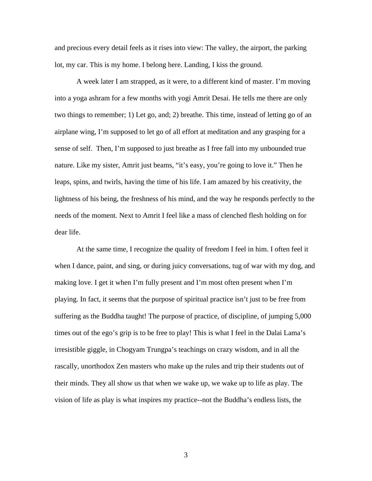and precious every detail feels as it rises into view: The valley, the airport, the parking lot, my car. This is my home. I belong here. Landing, I kiss the ground.

A week later I am strapped, as it were, to a different kind of master. I'm moving into a yoga ashram for a few months with yogi Amrit Desai. He tells me there are only two things to remember; 1) Let go, and; 2) breathe. This time, instead of letting go of an airplane wing, I'm supposed to let go of all effort at meditation and any grasping for a sense of self. Then, I'm supposed to just breathe as I free fall into my unbounded true nature. Like my sister, Amrit just beams, "it's easy, you're going to love it." Then he leaps, spins, and twirls, having the time of his life. I am amazed by his creativity, the lightness of his being, the freshness of his mind, and the way he responds perfectly to the needs of the moment. Next to Amrit I feel like a mass of clenched flesh holding on for dear life.

At the same time, I recognize the quality of freedom I feel in him. I often feel it when I dance, paint, and sing, or during juicy conversations, tug of war with my dog, and making love. I get it when I'm fully present and I'm most often present when I'm playing. In fact, it seems that the purpose of spiritual practice isn't just to be free from suffering as the Buddha taught! The purpose of practice, of discipline, of jumping 5,000 times out of the ego's grip is to be free to play! This is what I feel in the Dalai Lama's irresistible giggle, in Chogyam Trungpa's teachings on crazy wisdom, and in all the rascally, unorthodox Zen masters who make up the rules and trip their students out of their minds. They all show us that when we wake up, we wake up to life as play. The vision of life as play is what inspires my practice--not the Buddha's endless lists, the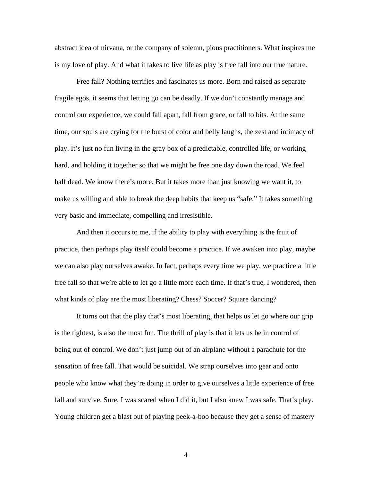abstract idea of nirvana, or the company of solemn, pious practitioners. What inspires me is my love of play. And what it takes to live life as play is free fall into our true nature.

Free fall? Nothing terrifies and fascinates us more. Born and raised as separate fragile egos, it seems that letting go can be deadly. If we don't constantly manage and control our experience, we could fall apart, fall from grace, or fall to bits. At the same time, our souls are crying for the burst of color and belly laughs, the zest and intimacy of play. It's just no fun living in the gray box of a predictable, controlled life, or working hard, and holding it together so that we might be free one day down the road. We feel half dead. We know there's more. But it takes more than just knowing we want it, to make us willing and able to break the deep habits that keep us "safe." It takes something very basic and immediate, compelling and irresistible.

And then it occurs to me, if the ability to play with everything is the fruit of practice, then perhaps play itself could become a practice. If we awaken into play, maybe we can also play ourselves awake. In fact, perhaps every time we play, we practice a little free fall so that we're able to let go a little more each time. If that's true, I wondered, then what kinds of play are the most liberating? Chess? Soccer? Square dancing?

It turns out that the play that's most liberating, that helps us let go where our grip is the tightest, is also the most fun. The thrill of play is that it lets us be in control of being out of control. We don't just jump out of an airplane without a parachute for the sensation of free fall. That would be suicidal. We strap ourselves into gear and onto people who know what they're doing in order to give ourselves a little experience of free fall and survive. Sure, I was scared when I did it, but I also knew I was safe. That's play. Young children get a blast out of playing peek-a-boo because they get a sense of mastery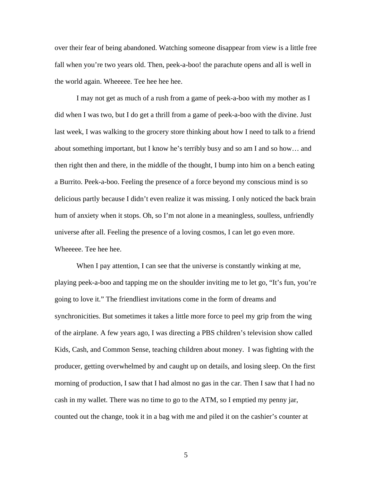over their fear of being abandoned. Watching someone disappear from view is a little free fall when you're two years old. Then, peek-a-boo! the parachute opens and all is well in the world again. Wheeeee. Tee hee hee hee.

I may not get as much of a rush from a game of peek-a-boo with my mother as I did when I was two, but I do get a thrill from a game of peek-a-boo with the divine. Just last week, I was walking to the grocery store thinking about how I need to talk to a friend about something important, but I know he's terribly busy and so am I and so how… and then right then and there, in the middle of the thought, I bump into him on a bench eating a Burrito. Peek-a-boo. Feeling the presence of a force beyond my conscious mind is so delicious partly because I didn't even realize it was missing. I only noticed the back brain hum of anxiety when it stops. Oh, so I'm not alone in a meaningless, soulless, unfriendly universe after all. Feeling the presence of a loving cosmos, I can let go even more. Wheeeee. Tee hee hee.

When I pay attention, I can see that the universe is constantly winking at me, playing peek-a-boo and tapping me on the shoulder inviting me to let go, "It's fun, you're going to love it." The friendliest invitations come in the form of dreams and synchronicities. But sometimes it takes a little more force to peel my grip from the wing of the airplane. A few years ago, I was directing a PBS children's television show called Kids, Cash, and Common Sense, teaching children about money. I was fighting with the producer, getting overwhelmed by and caught up on details, and losing sleep. On the first morning of production, I saw that I had almost no gas in the car. Then I saw that I had no cash in my wallet. There was no time to go to the ATM, so I emptied my penny jar, counted out the change, took it in a bag with me and piled it on the cashier's counter at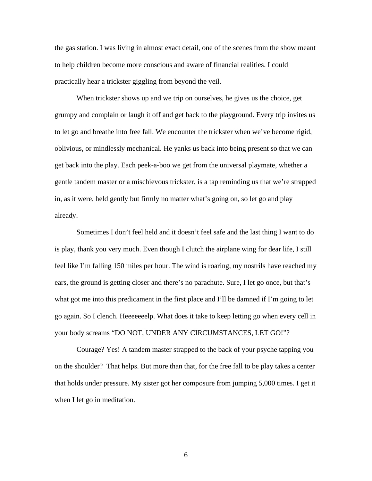the gas station. I was living in almost exact detail, one of the scenes from the show meant to help children become more conscious and aware of financial realities. I could practically hear a trickster giggling from beyond the veil.

When trickster shows up and we trip on ourselves, he gives us the choice, get grumpy and complain or laugh it off and get back to the playground. Every trip invites us to let go and breathe into free fall. We encounter the trickster when we've become rigid, oblivious, or mindlessly mechanical. He yanks us back into being present so that we can get back into the play. Each peek-a-boo we get from the universal playmate, whether a gentle tandem master or a mischievous trickster, is a tap reminding us that we're strapped in, as it were, held gently but firmly no matter what's going on, so let go and play already.

Sometimes I don't feel held and it doesn't feel safe and the last thing I want to do is play, thank you very much. Even though I clutch the airplane wing for dear life, I still feel like I'm falling 150 miles per hour. The wind is roaring, my nostrils have reached my ears, the ground is getting closer and there's no parachute. Sure, I let go once, but that's what got me into this predicament in the first place and I'll be damned if I'm going to let go again. So I clench. Heeeeeeelp. What does it take to keep letting go when every cell in your body screams "DO NOT, UNDER ANY CIRCUMSTANCES, LET GO!"?

Courage? Yes! A tandem master strapped to the back of your psyche tapping you on the shoulder? That helps. But more than that, for the free fall to be play takes a center that holds under pressure. My sister got her composure from jumping 5,000 times. I get it when I let go in meditation.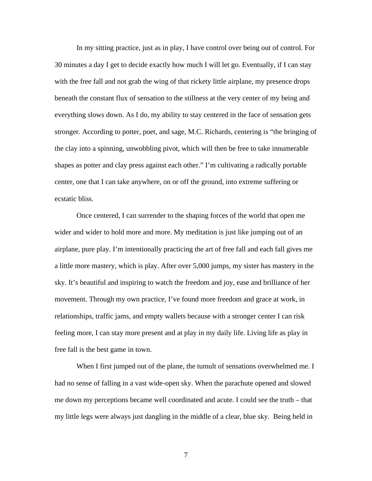In my sitting practice, just as in play, I have control over being out of control. For 30 minutes a day I get to decide exactly how much I will let go. Eventually, if I can stay with the free fall and not grab the wing of that rickety little airplane, my presence drops beneath the constant flux of sensation to the stillness at the very center of my being and everything slows down. As I do, my ability to stay centered in the face of sensation gets stronger. According to potter, poet, and sage, M.C. Richards, centering is "the bringing of the clay into a spinning, unwobbling pivot, which will then be free to take innumerable shapes as potter and clay press against each other." I'm cultivating a radically portable center, one that I can take anywhere, on or off the ground, into extreme suffering or ecstatic bliss.

Once centered, I can surrender to the shaping forces of the world that open me wider and wider to hold more and more. My meditation is just like jumping out of an airplane, pure play. I'm intentionally practicing the art of free fall and each fall gives me a little more mastery, which is play. After over 5,000 jumps, my sister has mastery in the sky. It's beautiful and inspiring to watch the freedom and joy, ease and brilliance of her movement. Through my own practice, I've found more freedom and grace at work, in relationships, traffic jams, and empty wallets because with a stronger center I can risk feeling more, I can stay more present and at play in my daily life. Living life as play in free fall is the best game in town.

When I first jumped out of the plane, the tumult of sensations overwhelmed me. I had no sense of falling in a vast wide-open sky. When the parachute opened and slowed me down my perceptions became well coordinated and acute. I could see the truth – that my little legs were always just dangling in the middle of a clear, blue sky. Being held in